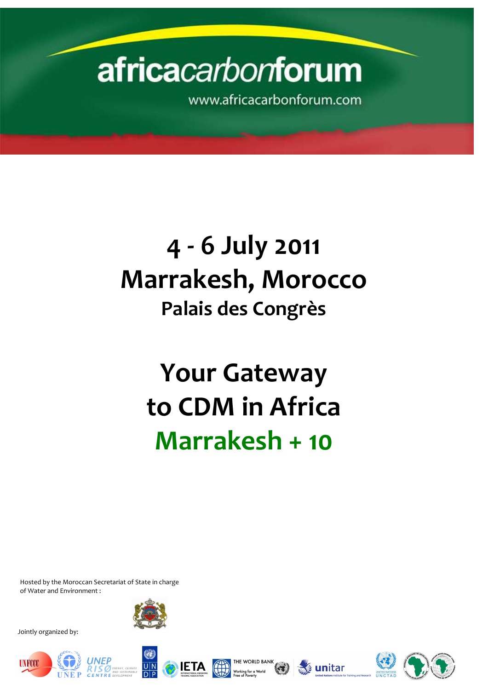# africacarbonforum

www.africacarbonforum.com

# 4 - 6 July 2011 Marrakesh, Morocco Palais des Congrès

Your Gateway to CDM in Africa Marrakesh + 10

Jointly organized by:



Hosted by the Moroccan Secretariat of State in charge of Water and Environment :

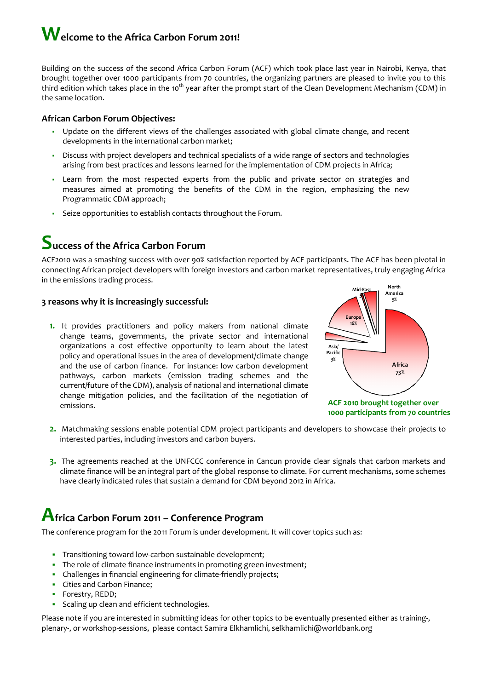## Welcome to the Africa Carbon Forum 2011!

Building on the success of the second Africa Carbon Forum (ACF) which took place last year in Nairobi, Kenya, that brought together over 1000 participants from 70 countries, the organizing partners are pleased to invite you to this third edition which takes place in the 10<sup>th</sup> year after the prompt start of the Clean Development Mechanism (CDM) in the same location.

#### African Carbon Forum Objectives:

- Update on the different views of the challenges associated with global climate change, and recent developments in the international carbon market;
- Discuss with project developers and technical specialists of a wide range of sectors and technologies arising from best practices and lessons learned for the implementation of CDM projects in Africa;
- Learn from the most respected experts from the public and private sector on strategies and measures aimed at promoting the benefits of the CDM in the region, emphasizing the new Programmatic CDM approach;
- Seize opportunities to establish contacts throughout the Forum.

### Success of the Africa Carbon Forum

ACF2010 was a smashing success with over 90% satisfaction reported by ACF participants. The ACF has been pivotal in connecting African project developers with foreign investors and carbon market representatives, truly engaging Africa in the emissions trading process.

#### 3 reasons why it is increasingly successful:

1. It provides practitioners and policy makers from national climate change teams, governments, the private sector and international organizations a cost effective opportunity to learn about the latest policy and operational issues in the area of development/climate change and the use of carbon finance. For instance: low carbon development pathways, carbon markets (emission trading schemes and the current/future of the CDM), analysis of national and international climate change mitigation policies, and the facilitation of the negotiation of emissions.

- 2. Matchmaking sessions enable potential CDM project participants and developers to showcase their projects to interested parties, including investors and carbon buyers.
- 3. The agreements reached at the UNFCCC conference in Cancun provide clear signals that carbon markets and climate finance will be an integral part of the global response to climate. For current mechanisms, some schemes have clearly indicated rules that sustain a demand for CDM beyond 2012 in Africa.



The conference program for the 2011 Forum is under development. It will cover topics such as:

- **Transitioning toward low-carbon sustainable development;**
- The role of climate finance instruments in promoting green investment;
- Challenges in financial engineering for climate-friendly projects;
- **Cities and Carbon Finance;**
- **Forestry, REDD;**
- **Scaling up clean and efficient technologies.**

Please note if you are interested in submitting ideas for other topics to be eventually presented either as training-, plenary-, or workshop-sessions, please contact Samira Elkhamlichi, selkhamlichi@worldbank.org



1000 participants from 70 countries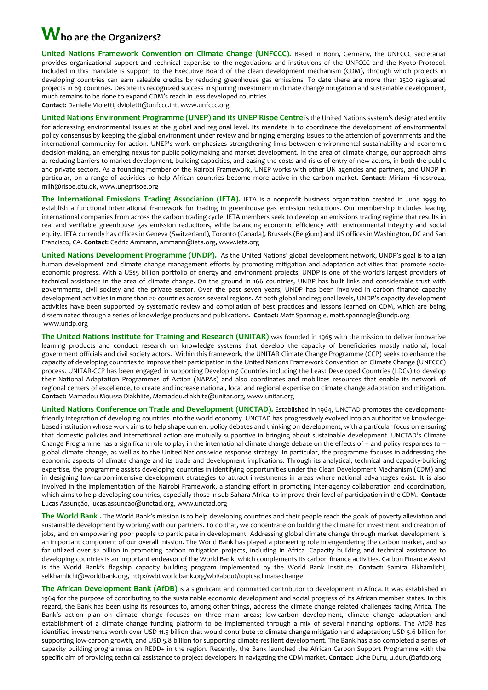# Who are the Organizers?

United Nations Framework Convention on Climate Change (UNFCCC). Based in Bonn, Germany, the UNFCCC secretariat provides organizational support and technical expertise to the negotiations and institutions of the UNFCCC and the Kyoto Protocol. Included in this mandate is support to the Executive Board of the clean development mechanism (CDM), through which projects in developing countries can earn saleable credits by reducing greenhouse gas emissions. To date there are more than 2520 registered projects in 69 countries. Despite its recognized success in spurring investment in climate change mitigation and sustainable development, much remains to be done to expand CDM's reach in less developed countries. Contact: Danielle Violetti, dvioletti@unfccc.int, www.unfccc.org

The International Emissions Trading Association (IETA). IETA is a nonprofit business organization created in June 1999 to establish a functional international framework for trading in greenhouse gas emission reductions. Our membership includes leading international companies from across the carbon trading cycle. IETA members seek to develop an emissions trading regime that results in real and verifiable greenhouse gas emission reductions, while balancing economic efficiency with environmental integrity and social equity. IETA currently has offices in Geneva (Switzerland), Toronto (Canada), Brussels (Belgium) and US offices in Washington, DC and San Francisco, CA. Contact: Cedric Ammann, ammann@ieta.org, www.ieta.org

United Nations Environment Programme (UNEP) and its UNEP Risoe Centre is the United Nations system's designated entity for addressing environmental issues at the global and regional level. Its mandate is to coordinate the development of environmental policy consensus by keeping the global environment under review and bringing emerging issues to the attention of governments and the international community for action. UNEP's work emphasizes strengthening links between environmental sustainability and economic decision-making, an emerging nexus for public policymaking and market development. In the area of climate change, our approach aims at reducing barriers to market development, building capacities, and easing the costs and risks of entry of new actors, in both the public and private sectors. As a founding member of the Nairobi Framework, UNEP works with other UN agencies and partners, and UNDP in particular, on a range of activities to help African countries become more active in the carbon market. Contact: Miriam Hinostroza, milh@risoe.dtu.dk, www.uneprisoe.org

United Nations Development Programme (UNDP). As the United Nations' global development network, UNDP's goal is to align human development and climate change management efforts by promoting mitigation and adaptation activities that promote socioeconomic progress. With a US\$5 billion portfolio of energy and environment projects, UNDP is one of the world's largest providers of technical assistance in the area of climate change. On the ground in 166 countries, UNDP has built links and considerable trust with governments, civil society and the private sector. Over the past seven years, UNDP has been involved in carbon finance capacity development activities in more than 20 countries across several regions. At both global and regional levels, UNDP's capacity development activities have been supported by systematic review and compilation of best practices and lessons learned on CDM, which are being disseminated through a series of knowledge products and publications. Contact: Matt Spannagle, matt.spannagle@undp.org www.undp.org

The United Nations Institute for Training and Research (UNITAR) was founded in 1965 with the mission to deliver innovative learning products and conduct research on knowledge systems that develop the capacity of beneficiaries mostly national, local government officials and civil society actors. Within this framework, the UNITAR Climate Change Programme (CCP) seeks to enhance the capacity of developing countries to improve their participation in the United Nations Framework Convention on Climate Change (UNFCCC) process. UNITAR-CCP has been engaged in supporting Developing Countries including the Least Developed Countries (LDCs) to develop their National Adaptation Programmes of Action (NAPAs) and also coordinates and mobilizes resources that enable its network of regional centers of excellence, to create and increase national, local and regional expertise on climate change adaptation and mitigation. Contact: Mamadou Moussa Diakhiite, Mamadou.diakhite@unitar.org, www.unitar.org

United Nations Conference on Trade and Development (UNCTAD). Established in 1964, UNCTAD promotes the developmentfriendly integration of developing countries into the world economy. UNCTAD has progressively evolved into an authoritative knowledgebased institution whose work aims to help shape current policy debates and thinking on development, with a particular focus on ensuring that domestic policies and international action are mutually supportive in bringing about sustainable development. UNCTAD's Climate Change Programme has a significant role to play in the international climate change debate on the effects of – and policy responses to – global climate change, as well as to the United Nations-wide response strategy. In particular, the programme focuses in addressing the economic aspects of climate change and its trade and development implications. Through its analytical, technical and capacity-building expertise, the programme assists developing countries in identifying opportunities under the Clean Development Mechanism (CDM) and in designing low-carbon-intensive development strategies to attract investments in areas where national advantages exist. It is also involved in the implementation of the Nairobi Framework, a standing effort in promoting inter-agency collaboration and coordination, which aims to help developing countries, especially those in sub-Sahara Africa, to improve their level of participation in the CDM. Contact: Lucas Assunção, lucas.assuncao@unctad.org, www.unctad.org

The World Bank. The World Bank's mission is to help developing countries and their people reach the goals of poverty alleviation and

sustainable development by working with our partners. To do that, we concentrate on building the climate for investment and creation of jobs, and on empowering poor people to participate in development. Addressing global climate change through market development is an important component of our overall mission. The World Bank has played a pioneering role in engendering the carbon market, and so far utilized over \$2 billion in promoting carbon mitigation projects, including in Africa. Capacity building and technical assistance to developing countries is an important endeavor of the World Bank, which complements its carbon finance activities. Carbon Finance Assist is the World Bank's flagship capacity building program implemented by the World Bank Institute. Contact: Samira Elkhamlichi, selkhamlichi@worldbank.org, http://wbi.worldbank.org/wbi/about/topics/climate-change

The African Development Bank (AfDB) is a significant and committed contributor to development in Africa. It was established in 1964 for the purpose of contributing to the sustainable economic development and social progress of its African member states. In this regard, the Bank has been using its resources to, among other things, address the climate change related challenges facing Africa. The Bank's action plan on climate change focuses on three main areas; low-carbon development, climate change adaptation and establishment of a climate change funding platform to be implemented through a mix of several financing options. The AfDB has identified investments worth over USD 11.5 billion that would contribute to climate change mitigation and adaptation; USD 5.6 billion for supporting low-carbon growth, and USD 5.8 billion for supporting climate-resilient development. The Bank has also completed a series of capacity building programmes on REDD+ in the region. Recently, the Bank launched the African Carbon Support Programme with the specific aim of providing technical assistance to project developers in navigating the CDM market. Contact: Uche Duru, u.duru@afdb.org